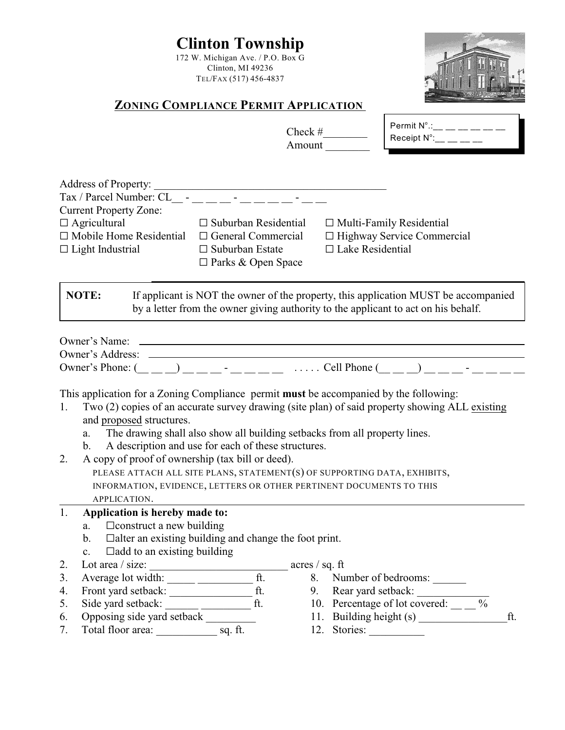|          |                                                                                                                                                                                                                                 | <b>Clinton Township</b><br>172 W. Michigan Ave. / P.O. Box G<br>Clinton, MI 49236<br>TEL/FAX (517) 456-4837                                     |                         |                                                                                    |     |
|----------|---------------------------------------------------------------------------------------------------------------------------------------------------------------------------------------------------------------------------------|-------------------------------------------------------------------------------------------------------------------------------------------------|-------------------------|------------------------------------------------------------------------------------|-----|
|          |                                                                                                                                                                                                                                 | <b>ZONING COMPLIANCE PERMIT APPLICATION</b>                                                                                                     |                         |                                                                                    |     |
|          |                                                                                                                                                                                                                                 |                                                                                                                                                 | Check $\#$<br>Amount    | Permit $N^{\circ}$ .: __ __ __ __ __ __<br>Receipt $\mathsf{N}^\circ$ :__ __ __ __ |     |
|          |                                                                                                                                                                                                                                 |                                                                                                                                                 |                         |                                                                                    |     |
|          |                                                                                                                                                                                                                                 |                                                                                                                                                 |                         |                                                                                    |     |
|          | <b>Current Property Zone:</b><br>$\Box$ Agricultural<br>$\Box$ Mobile Home Residential<br>$\Box$ Light Industrial                                                                                                               | $\Box$ Suburban Residential<br>$\Box$ General Commercial<br>$\Box$ Suburban Estate<br>$\Box$ Parks & Open Space                                 | $\Box$ Lake Residential | $\Box$ Multi-Family Residential<br>□ Highway Service Commercial                    |     |
|          |                                                                                                                                                                                                                                 | by a letter from the owner giving authority to the applicant to act on his behalf.                                                              |                         |                                                                                    |     |
|          |                                                                                                                                                                                                                                 |                                                                                                                                                 |                         |                                                                                    |     |
| 1.       | This application for a Zoning Compliance permit must be accompanied by the following:<br>Two (2) copies of an accurate survey drawing (site plan) of said property showing ALL existing<br>and proposed structures.<br>a.<br>b. | The drawing shall also show all building setbacks from all property lines.<br>A description and use for each of these structures.               |                         |                                                                                    |     |
| 2.       | A copy of proof of ownership (tax bill or deed).<br>APPLICATION.                                                                                                                                                                | PLEASE ATTACH ALL SITE PLANS, STATEMENT(S) OF SUPPORTING DATA, EXHIBITS,<br>INFORMATION, EVIDENCE, LETTERS OR OTHER PERTINENT DOCUMENTS TO THIS |                         |                                                                                    |     |
| 1.       | Application is hereby made to:<br>$\Box$ construct a new building<br>a.<br>b.                                                                                                                                                   | $\Box$ alter an existing building and change the foot print.                                                                                    |                         |                                                                                    |     |
| 2.       | $\Box$ add to an existing building<br>c.                                                                                                                                                                                        |                                                                                                                                                 |                         |                                                                                    |     |
| 3.       |                                                                                                                                                                                                                                 |                                                                                                                                                 |                         | 8. Number of bedrooms:                                                             |     |
| 4.       |                                                                                                                                                                                                                                 |                                                                                                                                                 |                         |                                                                                    |     |
| 5.       |                                                                                                                                                                                                                                 |                                                                                                                                                 |                         | 10. Percentage of lot covered: $\_\_$ %                                            |     |
| 6.<br>7. | Opposing side yard setback                                                                                                                                                                                                      |                                                                                                                                                 |                         | 11. Building height (s)                                                            | ft. |